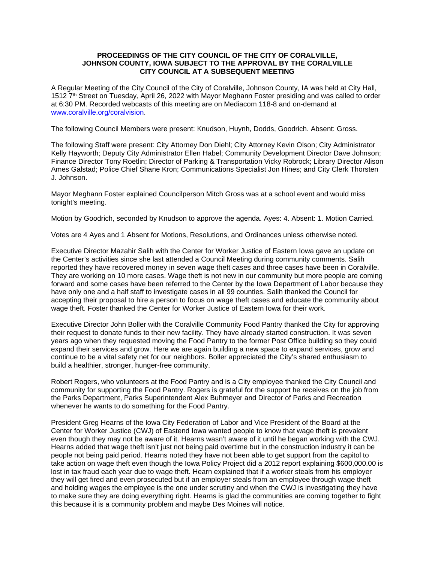### **PROCEEDINGS OF THE CITY COUNCIL OF THE CITY OF CORALVILLE, JOHNSON COUNTY, IOWA SUBJECT TO THE APPROVAL BY THE CORALVILLE CITY COUNCIL AT A SUBSEQUENT MEETING**

A Regular Meeting of the City Council of the City of Coralville, Johnson County, IA was held at City Hall, 1512 7th Street on Tuesday, April 26, 2022 with Mayor Meghann Foster presiding and was called to order at 6:30 PM. Recorded webcasts of this meeting are on Mediacom 118-8 and on-demand at [www.coralville.org/coralvision.](http://www.coralville.org/coralvision)

The following Council Members were present: Knudson, Huynh, Dodds, Goodrich. Absent: Gross.

The following Staff were present: City Attorney Don Diehl; City Attorney Kevin Olson; City Administrator Kelly Hayworth; Deputy City Administrator Ellen Habel; Community Development Director Dave Johnson; Finance Director Tony Roetlin; Director of Parking & Transportation Vicky Robrock; Library Director Alison Ames Galstad; Police Chief Shane Kron; Communications Specialist Jon Hines; and City Clerk Thorsten J. Johnson.

Mayor Meghann Foster explained Councilperson Mitch Gross was at a school event and would miss tonight's meeting.

Motion by Goodrich, seconded by Knudson to approve the agenda. Ayes: 4. Absent: 1. Motion Carried.

Votes are 4 Ayes and 1 Absent for Motions, Resolutions, and Ordinances unless otherwise noted.

Executive Director Mazahir Salih with the Center for Worker Justice of Eastern Iowa gave an update on the Center's activities since she last attended a Council Meeting during community comments. Salih reported they have recovered money in seven wage theft cases and three cases have been in Coralville. They are working on 10 more cases. Wage theft is not new in our community but more people are coming forward and some cases have been referred to the Center by the Iowa Department of Labor because they have only one and a half staff to investigate cases in all 99 counties. Salih thanked the Council for accepting their proposal to hire a person to focus on wage theft cases and educate the community about wage theft. Foster thanked the Center for Worker Justice of Eastern Iowa for their work.

Executive Director John Boller with the Coralville Community Food Pantry thanked the City for approving their request to donate funds to their new facility. They have already started construction. It was seven years ago when they requested moving the Food Pantry to the former Post Office building so they could expand their services and grow. Here we are again building a new space to expand services, grow and continue to be a vital safety net for our neighbors. Boller appreciated the City's shared enthusiasm to build a healthier, stronger, hunger-free community.

Robert Rogers, who volunteers at the Food Pantry and is a City employee thanked the City Council and community for supporting the Food Pantry. Rogers is grateful for the support he receives on the job from the Parks Department, Parks Superintendent Alex Buhmeyer and Director of Parks and Recreation whenever he wants to do something for the Food Pantry.

President Greg Hearns of the Iowa City Federation of Labor and Vice President of the Board at the Center for Worker Justice (CWJ) of Eastend Iowa wanted people to know that wage theft is prevalent even though they may not be aware of it. Hearns wasn't aware of it until he began working with the CWJ. Hearns added that wage theft isn't just not being paid overtime but in the construction industry it can be people not being paid period. Hearns noted they have not been able to get support from the capitol to take action on wage theft even though the Iowa Policy Project did a 2012 report explaining \$600,000.00 is lost in tax fraud each year due to wage theft. Hearn explained that if a worker steals from his employer they will get fired and even prosecuted but if an employer steals from an employee through wage theft and holding wages the employee is the one under scrutiny and when the CWJ is investigating they have to make sure they are doing everything right. Hearns is glad the communities are coming together to fight this because it is a community problem and maybe Des Moines will notice.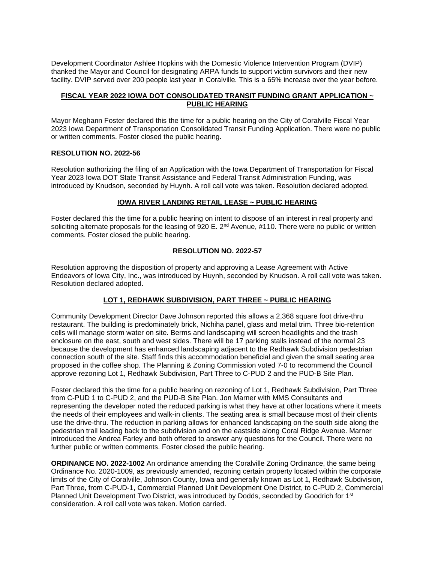Development Coordinator Ashlee Hopkins with the Domestic Violence Intervention Program (DVIP) thanked the Mayor and Council for designating ARPA funds to support victim survivors and their new facility. DVIP served over 200 people last year in Coralville. This is a 65% increase over the year before.

## **FISCAL YEAR 2022 IOWA DOT CONSOLIDATED TRANSIT FUNDING GRANT APPLICATION ~ PUBLIC HEARING**

Mayor Meghann Foster declared this the time for a public hearing on the City of Coralville Fiscal Year 2023 Iowa Department of Transportation Consolidated Transit Funding Application. There were no public or written comments. Foster closed the public hearing.

### **RESOLUTION NO. 2022-56**

Resolution authorizing the filing of an Application with the Iowa Department of Transportation for Fiscal Year 2023 Iowa DOT State Transit Assistance and Federal Transit Administration Funding, was introduced by Knudson, seconded by Huynh. A roll call vote was taken. Resolution declared adopted.

## **IOWA RIVER LANDING RETAIL LEASE ~ PUBLIC HEARING**

Foster declared this the time for a public hearing on intent to dispose of an interest in real property and soliciting alternate proposals for the leasing of 920 E. 2<sup>nd</sup> Avenue, #110. There were no public or written comments. Foster closed the public hearing.

## **RESOLUTION NO. 2022-57**

Resolution approving the disposition of property and approving a Lease Agreement with Active Endeavors of Iowa City, Inc., was introduced by Huynh, seconded by Knudson. A roll call vote was taken. Resolution declared adopted.

# **LOT 1, REDHAWK SUBDIVISION, PART THREE ~ PUBLIC HEARING**

Community Development Director Dave Johnson reported this allows a 2,368 square foot drive-thru restaurant. The building is predominately brick, Nichiha panel, glass and metal trim. Three bio-retention cells will manage storm water on site. Berms and landscaping will screen headlights and the trash enclosure on the east, south and west sides. There will be 17 parking stalls instead of the normal 23 because the development has enhanced landscaping adjacent to the Redhawk Subdivision pedestrian connection south of the site. Staff finds this accommodation beneficial and given the small seating area proposed in the coffee shop. The Planning & Zoning Commission voted 7-0 to recommend the Council approve rezoning Lot 1, Redhawk Subdivision, Part Three to C-PUD 2 and the PUD-B Site Plan.

Foster declared this the time for a public hearing on rezoning of Lot 1, Redhawk Subdivision, Part Three from C-PUD 1 to C-PUD 2, and the PUD-B Site Plan. Jon Marner with MMS Consultants and representing the developer noted the reduced parking is what they have at other locations where it meets the needs of their employees and walk-in clients. The seating area is small because most of their clients use the drive-thru. The reduction in parking allows for enhanced landscaping on the south side along the pedestrian trail leading back to the subdivision and on the eastside along Coral Ridge Avenue. Marner introduced the Andrea Farley and both offered to answer any questions for the Council. There were no further public or written comments. Foster closed the public hearing.

**ORDINANCE NO. 2022-1002** An ordinance amending the Coralville Zoning Ordinance, the same being Ordinance No. 2020-1009, as previously amended, rezoning certain property located within the corporate limits of the City of Coralville, Johnson County, Iowa and generally known as Lot 1, Redhawk Subdivision, Part Three, from C-PUD-1, Commercial Planned Unit Development One District, to C-PUD 2, Commercial Planned Unit Development Two District, was introduced by Dodds, seconded by Goodrich for 1<sup>st</sup> consideration. A roll call vote was taken. Motion carried.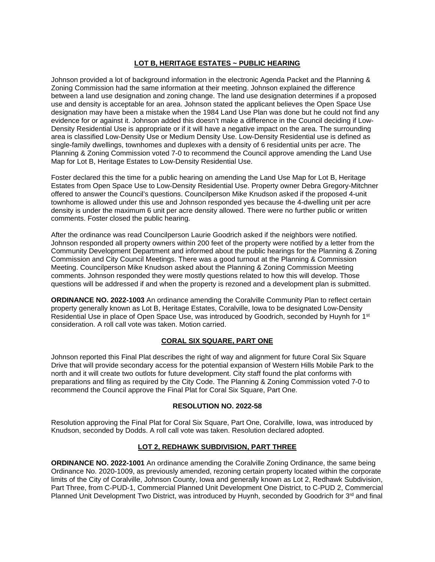### **LOT B, HERITAGE ESTATES ~ PUBLIC HEARING**

Johnson provided a lot of background information in the electronic Agenda Packet and the Planning & Zoning Commission had the same information at their meeting. Johnson explained the difference between a land use designation and zoning change. The land use designation determines if a proposed use and density is acceptable for an area. Johnson stated the applicant believes the Open Space Use designation may have been a mistake when the 1984 Land Use Plan was done but he could not find any evidence for or against it. Johnson added this doesn't make a difference in the Council deciding if Low-Density Residential Use is appropriate or if it will have a negative impact on the area. The surrounding area is classified Low-Density Use or Medium Density Use. Low-Density Residential use is defined as single-family dwellings, townhomes and duplexes with a density of 6 residential units per acre. The Planning & Zoning Commission voted 7-0 to recommend the Council approve amending the Land Use Map for Lot B, Heritage Estates to Low-Density Residential Use.

Foster declared this the time for a public hearing on amending the Land Use Map for Lot B, Heritage Estates from Open Space Use to Low-Density Residential Use. Property owner Debra Gregory-Mitchner offered to answer the Council's questions. Councilperson Mike Knudson asked if the proposed 4-unit townhome is allowed under this use and Johnson responded yes because the 4-dwelling unit per acre density is under the maximum 6 unit per acre density allowed. There were no further public or written comments. Foster closed the public hearing.

After the ordinance was read Councilperson Laurie Goodrich asked if the neighbors were notified. Johnson responded all property owners within 200 feet of the property were notified by a letter from the Community Development Department and informed about the public hearings for the Planning & Zoning Commission and City Council Meetings. There was a good turnout at the Planning & Commission Meeting. Councilperson Mike Knudson asked about the Planning & Zoning Commission Meeting comments. Johnson responded they were mostly questions related to how this will develop. Those questions will be addressed if and when the property is rezoned and a development plan is submitted.

**ORDINANCE NO. 2022-1003** An ordinance amending the Coralville Community Plan to reflect certain property generally known as Lot B, Heritage Estates, Coralville, Iowa to be designated Low-Density Residential Use in place of Open Space Use, was introduced by Goodrich, seconded by Huynh for 1st consideration. A roll call vote was taken. Motion carried.

# **CORAL SIX SQUARE, PART ONE**

Johnson reported this Final Plat describes the right of way and alignment for future Coral Six Square Drive that will provide secondary access for the potential expansion of Western Hills Mobile Park to the north and it will create two outlots for future development. City staff found the plat conforms with preparations and filing as required by the City Code. The Planning & Zoning Commission voted 7-0 to recommend the Council approve the Final Plat for Coral Six Square, Part One.

### **RESOLUTION NO. 2022-58**

Resolution approving the Final Plat for Coral Six Square, Part One, Coralville, Iowa, was introduced by Knudson, seconded by Dodds. A roll call vote was taken. Resolution declared adopted.

# **LOT 2, REDHAWK SUBDIVISION, PART THREE**

**ORDINANCE NO. 2022-1001** An ordinance amending the Coralville Zoning Ordinance, the same being Ordinance No. 2020-1009, as previously amended, rezoning certain property located within the corporate limits of the City of Coralville, Johnson County, Iowa and generally known as Lot 2, Redhawk Subdivision, Part Three, from C-PUD-1, Commercial Planned Unit Development One District, to C-PUD 2, Commercial Planned Unit Development Two District, was introduced by Huynh, seconded by Goodrich for 3<sup>rd</sup> and final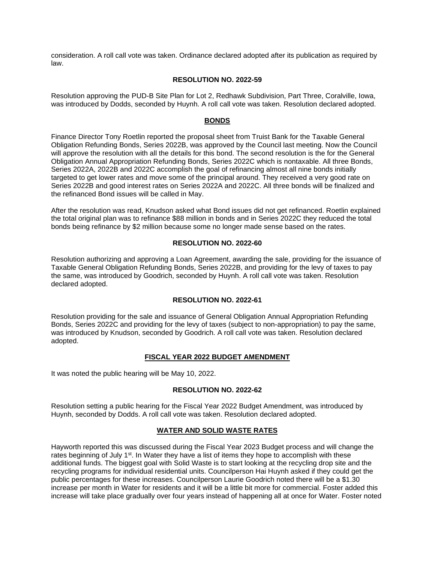consideration. A roll call vote was taken. Ordinance declared adopted after its publication as required by law.

# **RESOLUTION NO. 2022-59**

Resolution approving the PUD-B Site Plan for Lot 2, Redhawk Subdivision, Part Three, Coralville, Iowa, was introduced by Dodds, seconded by Huynh. A roll call vote was taken. Resolution declared adopted.

## **BONDS**

Finance Director Tony Roetlin reported the proposal sheet from Truist Bank for the Taxable General Obligation Refunding Bonds, Series 2022B, was approved by the Council last meeting. Now the Council will approve the resolution with all the details for this bond. The second resolution is the for the General Obligation Annual Appropriation Refunding Bonds, Series 2022C which is nontaxable. All three Bonds, Series 2022A, 2022B and 2022C accomplish the goal of refinancing almost all nine bonds initially targeted to get lower rates and move some of the principal around. They received a very good rate on Series 2022B and good interest rates on Series 2022A and 2022C. All three bonds will be finalized and the refinanced Bond issues will be called in May.

After the resolution was read, Knudson asked what Bond issues did not get refinanced. Roetlin explained the total original plan was to refinance \$88 million in bonds and in Series 2022C they reduced the total bonds being refinance by \$2 million because some no longer made sense based on the rates.

### **RESOLUTION NO. 2022-60**

Resolution authorizing and approving a Loan Agreement, awarding the sale, providing for the issuance of Taxable General Obligation Refunding Bonds, Series 2022B, and providing for the levy of taxes to pay the same, was introduced by Goodrich, seconded by Huynh. A roll call vote was taken. Resolution declared adopted.

# **RESOLUTION NO. 2022-61**

Resolution providing for the sale and issuance of General Obligation Annual Appropriation Refunding Bonds, Series 2022C and providing for the levy of taxes (subject to non-appropriation) to pay the same, was introduced by Knudson, seconded by Goodrich. A roll call vote was taken. Resolution declared adopted.

### **FISCAL YEAR 2022 BUDGET AMENDMENT**

It was noted the public hearing will be May 10, 2022.

### **RESOLUTION NO. 2022-62**

Resolution setting a public hearing for the Fiscal Year 2022 Budget Amendment, was introduced by Huynh, seconded by Dodds. A roll call vote was taken. Resolution declared adopted.

### **WATER AND SOLID WASTE RATES**

Hayworth reported this was discussed during the Fiscal Year 2023 Budget process and will change the rates beginning of July 1<sup>st</sup>. In Water they have a list of items they hope to accomplish with these additional funds. The biggest goal with Solid Waste is to start looking at the recycling drop site and the recycling programs for individual residential units. Councilperson Hai Huynh asked if they could get the public percentages for these increases. Councilperson Laurie Goodrich noted there will be a \$1.30 increase per month in Water for residents and it will be a little bit more for commercial. Foster added this increase will take place gradually over four years instead of happening all at once for Water. Foster noted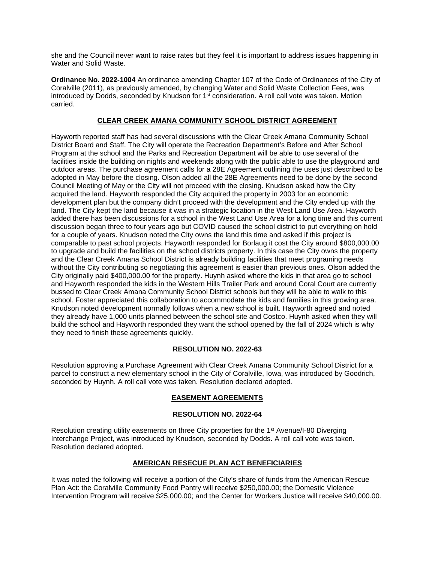she and the Council never want to raise rates but they feel it is important to address issues happening in Water and Solid Waste.

**Ordinance No. 2022-1004** An ordinance amending Chapter 107 of the Code of Ordinances of the City of Coralville (2011), as previously amended, by changing Water and Solid Waste Collection Fees, was introduced by Dodds, seconded by Knudson for 1<sup>st</sup> consideration. A roll call vote was taken. Motion carried.

# **CLEAR CREEK AMANA COMMUNITY SCHOOL DISTRICT AGREEMENT**

Hayworth reported staff has had several discussions with the Clear Creek Amana Community School District Board and Staff. The City will operate the Recreation Department's Before and After School Program at the school and the Parks and Recreation Department will be able to use several of the facilities inside the building on nights and weekends along with the public able to use the playground and outdoor areas. The purchase agreement calls for a 28E Agreement outlining the uses just described to be adopted in May before the closing. Olson added all the 28E Agreements need to be done by the second Council Meeting of May or the City will not proceed with the closing. Knudson asked how the City acquired the land. Hayworth responded the City acquired the property in 2003 for an economic development plan but the company didn't proceed with the development and the City ended up with the land. The City kept the land because it was in a strategic location in the West Land Use Area. Hayworth added there has been discussions for a school in the West Land Use Area for a long time and this current discussion began three to four years ago but COVID caused the school district to put everything on hold for a couple of years. Knudson noted the City owns the land this time and asked if this project is comparable to past school projects. Hayworth responded for Borlaug it cost the City around \$800,000.00 to upgrade and build the facilities on the school districts property. In this case the City owns the property and the Clear Creek Amana School District is already building facilities that meet programing needs without the City contributing so negotiating this agreement is easier than previous ones. Olson added the City originally paid \$400,000.00 for the property. Huynh asked where the kids in that area go to school and Hayworth responded the kids in the Western Hills Trailer Park and around Coral Court are currently bussed to Clear Creek Amana Community School District schools but they will be able to walk to this school. Foster appreciated this collaboration to accommodate the kids and families in this growing area. Knudson noted development normally follows when a new school is built. Hayworth agreed and noted they already have 1,000 units planned between the school site and Costco. Huynh asked when they will build the school and Hayworth responded they want the school opened by the fall of 2024 which is why they need to finish these agreements quickly.

# **RESOLUTION NO. 2022-63**

Resolution approving a Purchase Agreement with Clear Creek Amana Community School District for a parcel to construct a new elementary school in the City of Coralville, Iowa, was introduced by Goodrich, seconded by Huynh. A roll call vote was taken. Resolution declared adopted.

# **EASEMENT AGREEMENTS**

# **RESOLUTION NO. 2022-64**

Resolution creating utility easements on three City properties for the 1<sup>st</sup> Avenue/I-80 Diverging Interchange Project, was introduced by Knudson, seconded by Dodds. A roll call vote was taken. Resolution declared adopted.

### **AMERICAN RESECUE PLAN ACT BENEFICIARIES**

It was noted the following will receive a portion of the City's share of funds from the American Rescue Plan Act: the Coralville Community Food Pantry will receive \$250,000.00; the Domestic Violence Intervention Program will receive \$25,000.00; and the Center for Workers Justice will receive \$40,000.00.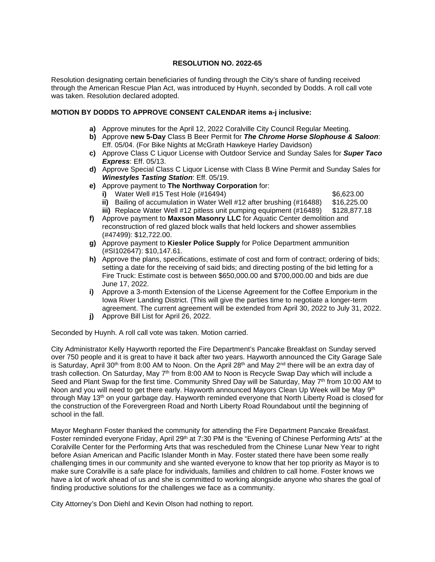## **RESOLUTION NO. 2022-65**

Resolution designating certain beneficiaries of funding through the City's share of funding received through the American Rescue Plan Act, was introduced by Huynh, seconded by Dodds. A roll call vote was taken. Resolution declared adopted.

## **MOTION BY DODDS TO APPROVE CONSENT CALENDAR items a-j inclusive:**

- **a)** Approve minutes for the April 12, 2022 Coralville City Council Regular Meeting.
- **b)** Approve **new 5-Day** Class B Beer Permit for *The Chrome Horse Slophouse & Saloon*: Eff. 05/04. (For Bike Nights at McGrath Hawkeye Harley Davidson)
- **c)** Approve Class C Liquor License with Outdoor Service and Sunday Sales for *Super Taco Express*: Eff. 05/13.
- **d)** Approve Special Class C Liquor License with Class B Wine Permit and Sunday Sales for *Winestyles Tasting Station*: Eff. 05/19.
- **e)** Approve payment to **The Northway Corporation** for:

**i)** Water Well #15 Test Hole (#16494) **\$6,623.00** 

- **ii)** Bailing of accumulation in Water Well #12 after brushing (#16488) \$16,225.00<br>**iii)** Replace Water Well #12 pitless unit pumping equipment (#16489) \$128,877.18
- **iii)** Replace Water Well #12 pitless unit pumping equipment (#16489)
- **f)** Approve payment to **Maxson Masonry LLC** for Aquatic Center demolition and reconstruction of red glazed block walls that held lockers and shower assemblies (#47499): \$12,722.00.
- **g)** Approve payment to **Kiesler Police Supply** for Police Department ammunition (#SI102647): \$10,147.61.
- **h)** Approve the plans, specifications, estimate of cost and form of contract; ordering of bids; setting a date for the receiving of said bids; and directing posting of the bid letting for a Fire Truck: Estimate cost is between \$650,000.00 and \$700,000.00 and bids are due June 17, 2022.
- **i)** Approve a 3-month Extension of the License Agreement for the Coffee Emporium in the Iowa River Landing District. (This will give the parties time to negotiate a longer-term agreement. The current agreement will be extended from April 30, 2022 to July 31, 2022.
- **j)** Approve Bill List for April 26, 2022.

Seconded by Huynh. A roll call vote was taken. Motion carried.

City Administrator Kelly Hayworth reported the Fire Department's Pancake Breakfast on Sunday served over 750 people and it is great to have it back after two years. Hayworth announced the City Garage Sale is Saturday, April 30<sup>th</sup> from 8:00 AM to Noon. On the April 28<sup>th</sup> and May 2<sup>nd</sup> there will be an extra day of trash collection. On Saturday, May 7<sup>th</sup> from 8:00 AM to Noon is Recycle Swap Day which will include a Seed and Plant Swap for the first time. Community Shred Day will be Saturday, May  $7<sup>th</sup>$  from 10:00 AM to Noon and you will need to get there early. Hayworth announced Mayors Clean Up Week will be May 9<sup>th</sup> through May 13th on your garbage day. Hayworth reminded everyone that North Liberty Road is closed for the construction of the Forevergreen Road and North Liberty Road Roundabout until the beginning of school in the fall.

Mayor Meghann Foster thanked the community for attending the Fire Department Pancake Breakfast. Foster reminded everyone Friday, April 29<sup>th</sup> at 7:30 PM is the "Evening of Chinese Performing Arts" at the Coralville Center for the Performing Arts that was rescheduled from the Chinese Lunar New Year to right before Asian American and Pacific Islander Month in May. Foster stated there have been some really challenging times in our community and she wanted everyone to know that her top priority as Mayor is to make sure Coralville is a safe place for individuals, families and children to call home. Foster knows we have a lot of work ahead of us and she is committed to working alongside anyone who shares the goal of finding productive solutions for the challenges we face as a community.

City Attorney's Don Diehl and Kevin Olson had nothing to report.